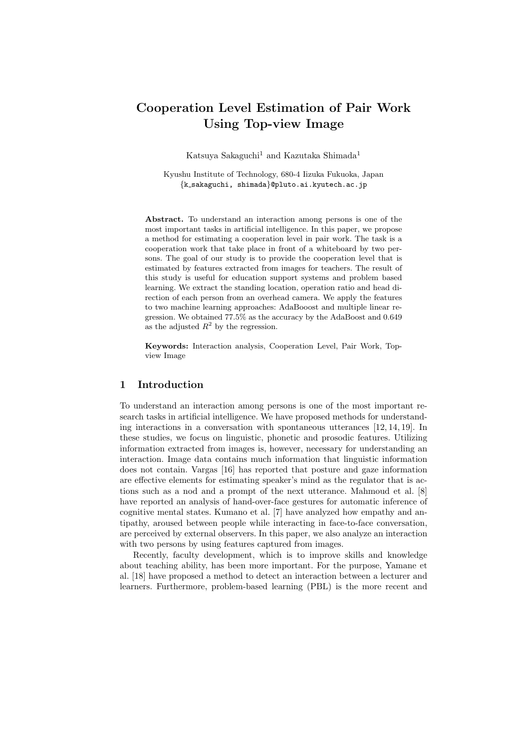# **Cooperation Level Estimation of Pair Work Using Top-view Image**

Katsuya Sakaguchi<sup>1</sup> and Kazutaka Shimada<sup>1</sup>

Kyushu Institute of Technology, 680-4 Iizuka Fukuoka, Japan *{*k sakaguchi, shimada*}*@pluto.ai.kyutech.ac.jp

**Abstract.** To understand an interaction among persons is one of the most important tasks in artificial intelligence. In this paper, we propose a method for estimating a cooperation level in pair work. The task is a cooperation work that take place in front of a whiteboard by two persons. The goal of our study is to provide the cooperation level that is estimated by features extracted from images for teachers. The result of this study is useful for education support systems and problem based learning. We extract the standing location, operation ratio and head direction of each person from an overhead camera. We apply the features to two machine learning approaches: AdaBooost and multiple linear regression. We obtained 77.5% as the accuracy by the AdaBoost and 0.649 as the adjusted  $R^2$  by the regression.

**Keywords:** Interaction analysis, Cooperation Level, Pair Work, Topview Image

# **1 Introduction**

To understand an interaction among persons is one of the most important research tasks in artificial intelligence. We have proposed methods for understanding interactions in a conversation with spontaneous utterances [12, 14, 19]. In these studies, we focus on linguistic, phonetic and prosodic features. Utilizing information extracted from images is, however, necessary for understanding an interaction. Image data contains much information that linguistic information does not contain. Vargas [16] has reported that posture and gaze information are effective elements for estimating speaker's mind as the regulator that is actions such as a nod and a prompt of the next utterance. Mahmoud et al. [8] have reported an analysis of hand-over-face gestures for automatic inference of cognitive mental states. Kumano et al. [7] have analyzed how empathy and antipathy, aroused between people while interacting in face-to-face conversation, are perceived by external observers. In this paper, we also analyze an interaction with two persons by using features captured from images.

Recently, faculty development, which is to improve skills and knowledge about teaching ability, has been more important. For the purpose, Yamane et al. [18] have proposed a method to detect an interaction between a lecturer and learners. Furthermore, problem-based learning (PBL) is the more recent and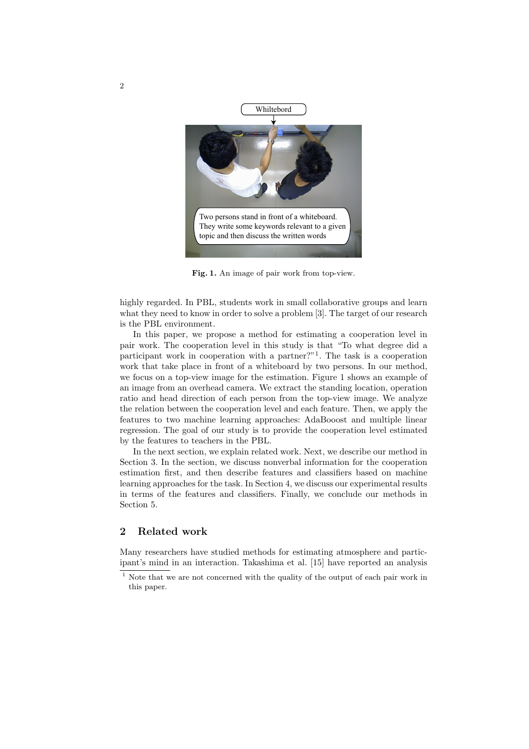

**Fig. 1.** An image of pair work from top-view.

highly regarded. In PBL, students work in small collaborative groups and learn what they need to know in order to solve a problem [3]. The target of our research is the PBL environment.

In this paper, we propose a method for estimating a cooperation level in pair work. The cooperation level in this study is that "To what degree did a participant work in cooperation with a partner?"<sup>1</sup>. The task is a cooperation work that take place in front of a whiteboard by two persons. In our method, we focus on a top-view image for the estimation. Figure 1 shows an example of an image from an overhead camera. We extract the standing location, operation ratio and head direction of each person from the top-view image. We analyze the relation between the cooperation level and each feature. Then, we apply the features to two machine learning approaches: AdaBooost and multiple linear regression. The goal of our study is to provide the cooperation level estimated by the features to teachers in the PBL.

In the next section, we explain related work. Next, we describe our method in Section 3. In the section, we discuss nonverbal information for the cooperation estimation first, and then describe features and classifiers based on machine learning approaches for the task. In Section 4, we discuss our experimental results in terms of the features and classifiers. Finally, we conclude our methods in Section 5.

## **2 Related work**

Many researchers have studied methods for estimating atmosphere and participant's mind in an interaction. Takashima et al. [15] have reported an analysis

Note that we are not concerned with the quality of the output of each pair work in this paper.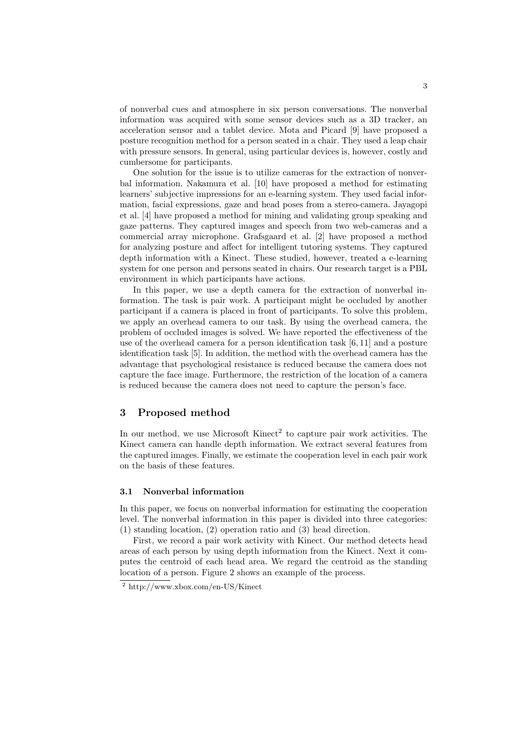of nonverbal cues and atmosphere in six person conversations. The nonverbal information was acquired with some sensor devices such as a 3D tracker, an acceleration sensor and a tablet device. Mota and Picard [9] have proposed a posture recognition method for a person seated in a chair. They used a leap chair with pressure sensors. In general, using particular devices is, however, costly and cumbersome for participants.

One solution for the issue is to utilize cameras for the extraction of nonverbal information. Nakamura et al. [10] have proposed a method for estimating learners' subjective impressions for an e-learning system. They used facial information, facial expressions, gaze and head poses from a stereo-camera. Jayagopi et al. [4] have proposed a method for mining and validating group speaking and gaze patterns. They captured images and speech from two web-cameras and a commercial array microphone. Grafsgaard et al. [2] have proposed a method for analyzing posture and affect for intelligent tutoring systems. They captured depth information with a Kinect. These studied, however, treated a e-learning system for one person and persons seated in chairs. Our research target is a PBL environment in which participants have actions.

In this paper, we use a depth camera for the extraction of nonverbal information. The task is pair work. A participant might be occluded by another participant if a camera is placed in front of participants. To solve this problem, we apply an overhead camera to our task. By using the overhead camera, the problem of occluded images is solved. We have reported the effectiveness of the use of the overhead camera for a person identification task [6, 11] and a posture identification task [5]. In addition, the method with the overhead camera has the advantage that psychological resistance is reduced because the camera does not capture the face image. Furthermore, the restriction of the location of a camera is reduced because the camera does not need to capture the person's face.

## **3 Proposed method**

In our method, we use Microsoft Kinect<sup>2</sup> to capture pair work activities. The Kinect camera can handle depth information. We extract several features from the captured images. Finally, we estimate the cooperation level in each pair work on the basis of these features.

## **3.1 Nonverbal information**

In this paper, we focus on nonverbal information for estimating the cooperation level. The nonverbal information in this paper is divided into three categories: (1) standing location, (2) operation ratio and (3) head direction.

First, we record a pair work activity with Kinect. Our method detects head areas of each person by using depth information from the Kinect. Next it computes the centroid of each head area. We regard the centroid as the standing location of a person. Figure 2 shows an example of the process.

<sup>2</sup> http://www.xbox.com/en-US/Kinect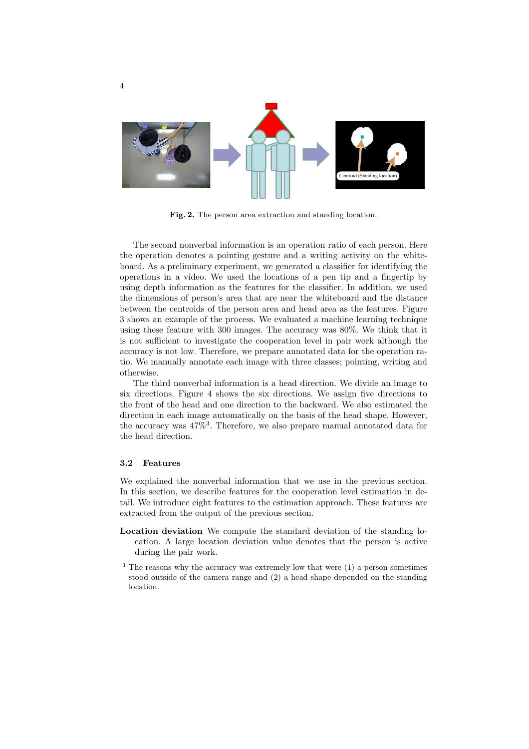

**Fig. 2.** The person area extraction and standing location.

The second nonverbal information is an operation ratio of each person. Here the operation denotes a pointing gesture and a writing activity on the whiteboard. As a preliminary experiment, we generated a classifier for identifying the operations in a video. We used the locations of a pen tip and a fingertip by using depth information as the features for the classifier. In addition, we used the dimensions of person's area that are near the whiteboard and the distance between the centroids of the person area and head area as the features. Figure 3 shows an example of the process. We evaluated a machine learning technique using these feature with 300 images. The accuracy was 80%. We think that it is not sufficient to investigate the cooperation level in pair work although the accuracy is not low. Therefore, we prepare annotated data for the operation ratio. We manually annotate each image with three classes; pointing, writing and otherwise.

The third nonverbal information is a head direction. We divide an image to six directions. Figure 4 shows the six directions. We assign five directions to the front of the head and one direction to the backward. We also estimated the direction in each image automatically on the basis of the head shape. However, the accuracy was 47%<sup>3</sup> . Therefore, we also prepare manual annotated data for the head direction.

### **3.2 Features**

We explained the nonverbal information that we use in the previous section. In this section, we describe features for the cooperation level estimation in detail. We introduce eight features to the estimation approach. These features are extracted from the output of the previous section.

**Location deviation** We compute the standard deviation of the standing location. A large location deviation value denotes that the person is active during the pair work.

 $3$  The reasons why the accuracy was extremely low that were  $(1)$  a person sometimes stood outside of the camera range and (2) a head shape depended on the standing location.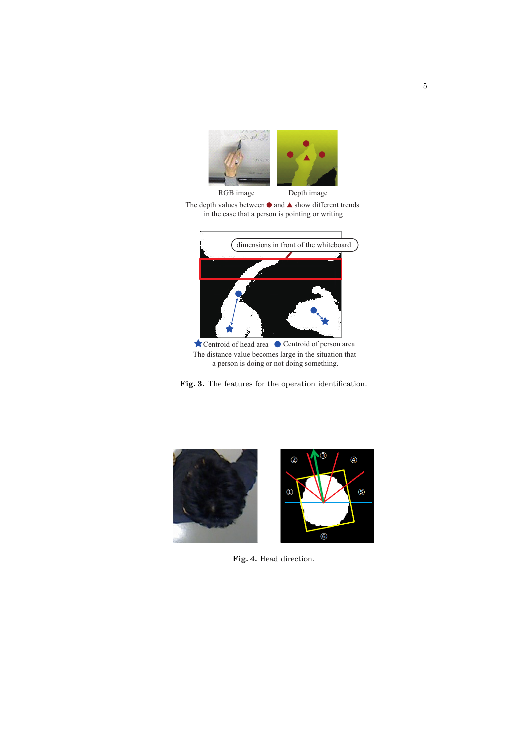

The depth values between  $\bullet$  and  $\blacktriangle$  show different trends in the case that a person is pointing or writing



The distance value becomes large in the situation that a person is doing or not doing something.

Fig. 3. The features for the operation identification.



**Fig. 4.** Head direction.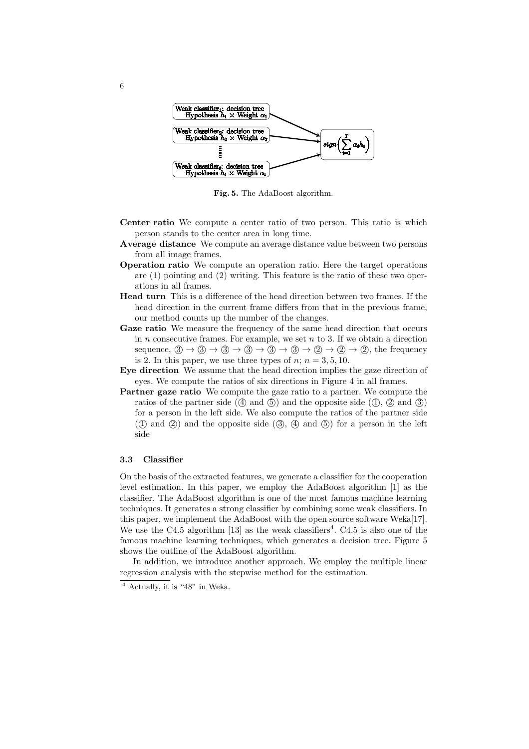

**Fig. 5.** The AdaBoost algorithm.

- **Center ratio** We compute a center ratio of two person. This ratio is which person stands to the center area in long time.
- **Average distance** We compute an average distance value between two persons from all image frames.
- **Operation ratio** We compute an operation ratio. Here the target operations are (1) pointing and (2) writing. This feature is the ratio of these two operations in all frames.
- **Head turn** This is a difference of the head direction between two frames. If the head direction in the current frame differs from that in the previous frame, our method counts up the number of the changes.
- **Gaze ratio** We measure the frequency of the same head direction that occurs in *n* consecutive frames. For example, we set *n* to 3. If we obtain a direction sequence,  $(3) \rightarrow (3) \rightarrow (3) \rightarrow (3) \rightarrow (3) \rightarrow (3) \rightarrow (2) \rightarrow (2) \rightarrow (2)$ , the frequency is 2. In this paper, we use three types of  $n; n = 3, 5, 10$ .
- **Eye direction** We assume that the head direction implies the gaze direction of eyes. We compute the ratios of six directions in Figure 4 in all frames.
- **Partner gaze ratio** We compute the gaze ratio to a partner. We compute the ratios of the partner side  $(\mathcal{4})$  and  $(\mathcal{5})$  and the opposite side  $(\mathcal{1}, \mathcal{2})$  and  $(\mathcal{3})$ for a person in the left side. We also compute the ratios of the partner side  $(1)$  and  $(2)$  and the opposite side  $(3)$ ,  $(4)$  and  $(5)$  for a person in the left side

#### **3.3 Classifier**

On the basis of the extracted features, we generate a classifier for the cooperation level estimation. In this paper, we employ the AdaBoost algorithm [1] as the classifier. The AdaBoost algorithm is one of the most famous machine learning techniques. It generates a strong classifier by combining some weak classifiers. In this paper, we implement the AdaBoost with the open source software Weka[17]. We use the C4.5 algorithm  $[13]$  as the weak classifiers<sup>4</sup>. C4.5 is also one of the famous machine learning techniques, which generates a decision tree. Figure 5 shows the outline of the AdaBoost algorithm.

In addition, we introduce another approach. We employ the multiple linear regression analysis with the stepwise method for the estimation.

<sup>4</sup> Actually, it is "48" in Weka.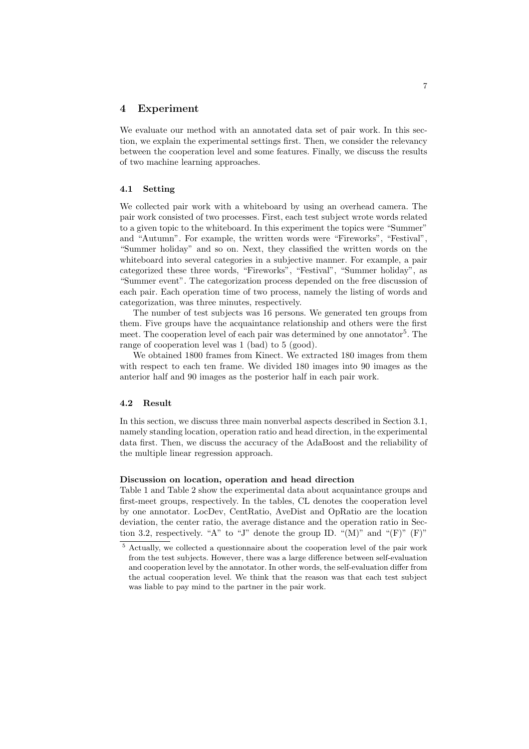## **4 Experiment**

We evaluate our method with an annotated data set of pair work. In this section, we explain the experimental settings first. Then, we consider the relevancy between the cooperation level and some features. Finally, we discuss the results of two machine learning approaches.

## **4.1 Setting**

We collected pair work with a whiteboard by using an overhead camera. The pair work consisted of two processes. First, each test subject wrote words related to a given topic to the whiteboard. In this experiment the topics were "Summer" and "Autumn". For example, the written words were "Fireworks", "Festival", "Summer holiday" and so on. Next, they classified the written words on the whiteboard into several categories in a subjective manner. For example, a pair categorized these three words, "Fireworks", "Festival", "Summer holiday", as "Summer event". The categorization process depended on the free discussion of each pair. Each operation time of two process, namely the listing of words and categorization, was three minutes, respectively.

The number of test subjects was 16 persons. We generated ten groups from them. Five groups have the acquaintance relationship and others were the first meet. The cooperation level of each pair was determined by one annotator<sup>5</sup>. The range of cooperation level was 1 (bad) to 5 (good).

We obtained 1800 frames from Kinect. We extracted 180 images from them with respect to each ten frame. We divided 180 images into 90 images as the anterior half and 90 images as the posterior half in each pair work.

### **4.2 Result**

In this section, we discuss three main nonverbal aspects described in Section 3.1, namely standing location, operation ratio and head direction, in the experimental data first. Then, we discuss the accuracy of the AdaBoost and the reliability of the multiple linear regression approach.

#### **Discussion on location, operation and head direction**

Table 1 and Table 2 show the experimental data about acquaintance groups and first-meet groups, respectively. In the tables, CL denotes the cooperation level by one annotator. LocDev, CentRatio, AveDist and OpRatio are the location deviation, the center ratio, the average distance and the operation ratio in Section 3.2, respectively. "A" to "J" denote the group ID. "(M)" and " $(F)$ "  $(F)$ "

<sup>5</sup> Actually, we collected a questionnaire about the cooperation level of the pair work from the test subjects. However, there was a large difference between self-evaluation and cooperation level by the annotator. In other words, the self-evaluation differ from the actual cooperation level. We think that the reason was that each test subject was liable to pay mind to the partner in the pair work.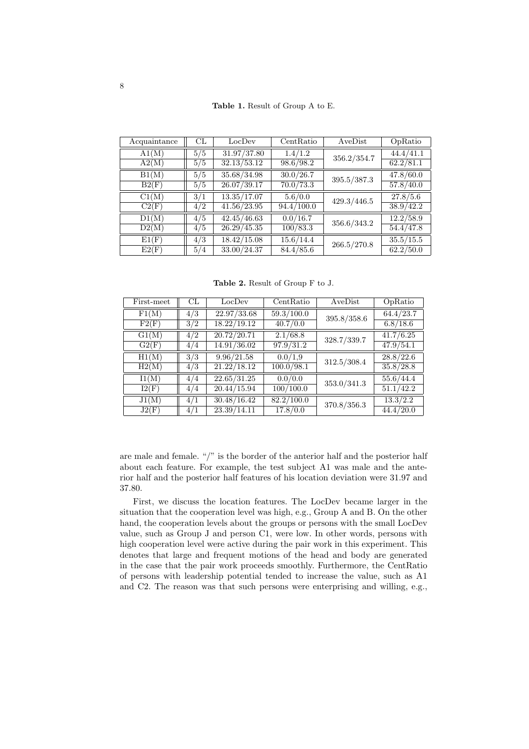**Table 1.** Result of Group A to E.

| Acquaintance       | CL  | LocDev                   | CentRatio  | AveDist     | OpRatio   |
|--------------------|-----|--------------------------|------------|-------------|-----------|
| A1(M)              | 5/5 | 31.97/37.80              | 1.4/1.2    | 356.2/354.7 | 44.4/41.1 |
| $\overline{A2(M)}$ | 5/5 | 32.13/53.12              | 98.6/98.2  |             | 62.2/81.1 |
| B1(M)              | 5/5 | 35.68/34.98              | 30.0/26.7  | 395.5/387.3 | 47.8/60.0 |
| $\overline{B2(F)}$ | 5/5 | 26.07/39.17              | 70.0/73.3  |             | 57.8/40.0 |
| Cl(M)              | 3/1 | 13.35/17.07              | 5.6/0.0    | 429.3/446.5 | 27.8/5.6  |
| C2(F)              | 4/2 | 41.56/23.95              | 94.4/100.0 |             | 38.9/42.2 |
| D1(M)              | 4/5 | 42.45/46.63              | 0.0/16.7   | 356.6/343.2 | 12.2/58.9 |
| D2(M)              | 4/5 | $26.\overline{29/45.35}$ | 100/83.3   |             | 54.4/47.8 |
| E1(F)              | 4/3 | 18.42/15.08              | 15.6/14.4  | 266.5/270.8 | 35.5/15.5 |
| E2(F)              | 5/4 | 33.00/24.37              | 84.4/85.6  |             | 62.2/50.0 |

**Table 2.** Result of Group F to J.

| First-meet | CL. | LocDev      | CentRatio  | AveDist     | OpRatio            |
|------------|-----|-------------|------------|-------------|--------------------|
| F1(M)      | 4/3 | 22.97/33.68 | 59.3/100.0 | 395.8/358.6 | 64.4/23.7          |
| F2(F)      | 3/2 | 18.22/19.12 | 40.7/0.0   |             | 6.8/18.6           |
| G1(M)      | 4/2 | 20.72/20.71 | 2.1/68.8   | 328.7/339.7 | 41.7/6.25          |
| G2(F)      | 4/4 | 14.91/36.02 | 97.9/31.2  |             | $\sqrt{47.9/54.1}$ |
| H1(M)      | 3/3 | 9.96/21.58  | 0.0/1,9    | 312.5/308.4 | 28.8/22.6          |
| H2(M)      | 4/3 | 21.22/18.12 | 100.0/98.1 |             | 35.8/28.8          |
| I1(M)      | 4/4 | 22.65/31.25 | 0.0/0.0    | 353.0/341.3 | 55.6/44.4          |
| I2(F)      | 4/4 | 20.44/15.94 | 100/100.0  |             | 51.1/42.2          |
| J1(M)      | 4/1 | 30.48/16.42 | 82.2/100.0 | 370.8/356.3 | 13.3/2.2           |
| J2(F)      | 4/1 | 23.39/14.11 | 17.8/0.0   |             | 44.4/20.0          |

are male and female. "/" is the border of the anterior half and the posterior half about each feature. For example, the test subject A1 was male and the anterior half and the posterior half features of his location deviation were 31.97 and 37.80.

First, we discuss the location features. The LocDev became larger in the situation that the cooperation level was high, e.g., Group A and B. On the other hand, the cooperation levels about the groups or persons with the small LocDev value, such as Group J and person C1, were low. In other words, persons with high cooperation level were active during the pair work in this experiment. This denotes that large and frequent motions of the head and body are generated in the case that the pair work proceeds smoothly. Furthermore, the CentRatio of persons with leadership potential tended to increase the value, such as A1 and C2. The reason was that such persons were enterprising and willing, e.g.,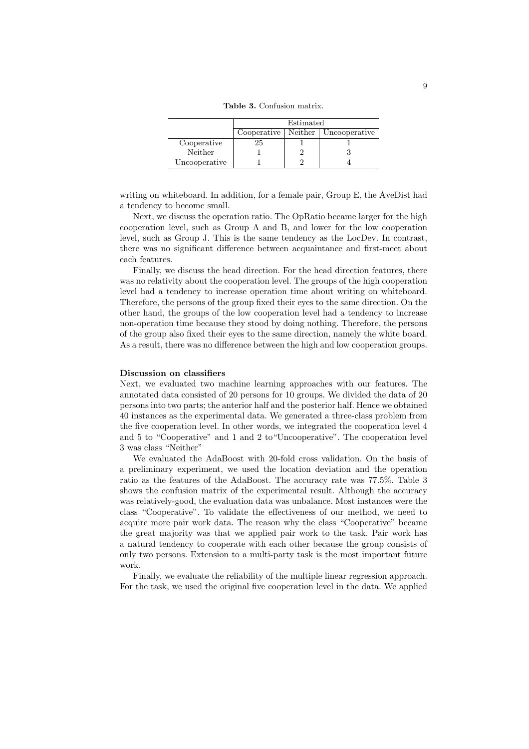**Table 3.** Confusion matrix.

|               | Estimated   |         |               |  |  |
|---------------|-------------|---------|---------------|--|--|
|               | Cooperative | Neither | Uncooperative |  |  |
| Cooperative   | 25          |         |               |  |  |
| Neither       |             |         |               |  |  |
| Uncooperative |             |         |               |  |  |

writing on whiteboard. In addition, for a female pair, Group E, the AveDist had a tendency to become small.

Next, we discuss the operation ratio. The OpRatio became larger for the high cooperation level, such as Group A and B, and lower for the low cooperation level, such as Group J. This is the same tendency as the LocDev. In contrast, there was no significant difference between acquaintance and first-meet about each features.

Finally, we discuss the head direction. For the head direction features, there was no relativity about the cooperation level. The groups of the high cooperation level had a tendency to increase operation time about writing on whiteboard. Therefore, the persons of the group fixed their eyes to the same direction. On the other hand, the groups of the low cooperation level had a tendency to increase non-operation time because they stood by doing nothing. Therefore, the persons of the group also fixed their eyes to the same direction, namely the white board. As a result, there was no difference between the high and low cooperation groups.

#### **Discussion on classifiers**

Next, we evaluated two machine learning approaches with our features. The annotated data consisted of 20 persons for 10 groups. We divided the data of 20 persons into two parts; the anterior half and the posterior half. Hence we obtained 40 instances as the experimental data. We generated a three-class problem from the five cooperation level. In other words, we integrated the cooperation level 4 and 5 to "Cooperative" and 1 and 2 to"Uncooperative". The cooperation level 3 was class "Neither"

We evaluated the AdaBoost with 20-fold cross validation. On the basis of a preliminary experiment, we used the location deviation and the operation ratio as the features of the AdaBoost. The accuracy rate was 77.5%. Table 3 shows the confusion matrix of the experimental result. Although the accuracy was relatively-good, the evaluation data was unbalance. Most instances were the class "Cooperative". To validate the effectiveness of our method, we need to acquire more pair work data. The reason why the class "Cooperative" became the great majority was that we applied pair work to the task. Pair work has a natural tendency to cooperate with each other because the group consists of only two persons. Extension to a multi-party task is the most important future work.

Finally, we evaluate the reliability of the multiple linear regression approach. For the task, we used the original five cooperation level in the data. We applied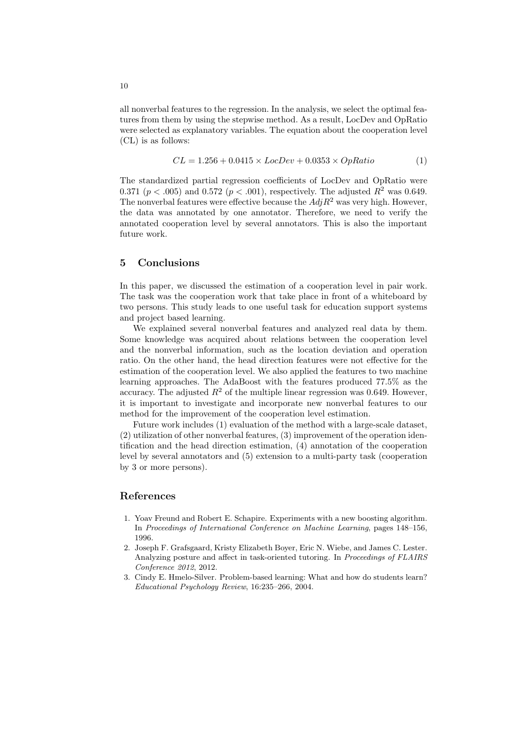all nonverbal features to the regression. In the analysis, we select the optimal features from them by using the stepwise method. As a result, LocDev and OpRatio were selected as explanatory variables. The equation about the cooperation level (CL) is as follows:

$$
CL = 1.256 + 0.0415 \times LocDev + 0.0353 \times OpRatio
$$
 (1)

The standardized partial regression coefficients of LocDev and OpRatio were 0.371 ( $p < .005$ ) and 0.572 ( $p < .001$ ), respectively. The adjusted  $R^2$  was 0.649. The nonverbal features were effective because the *AdjR*<sup>2</sup> was very high. However, the data was annotated by one annotator. Therefore, we need to verify the annotated cooperation level by several annotators. This is also the important future work.

# **5 Conclusions**

In this paper, we discussed the estimation of a cooperation level in pair work. The task was the cooperation work that take place in front of a whiteboard by two persons. This study leads to one useful task for education support systems and project based learning.

We explained several nonverbal features and analyzed real data by them. Some knowledge was acquired about relations between the cooperation level and the nonverbal information, such as the location deviation and operation ratio. On the other hand, the head direction features were not effective for the estimation of the cooperation level. We also applied the features to two machine learning approaches. The AdaBoost with the features produced 77.5% as the accuracy. The adjusted  $R^2$  of the multiple linear regression was 0.649. However, it is important to investigate and incorporate new nonverbal features to our method for the improvement of the cooperation level estimation.

Future work includes (1) evaluation of the method with a large-scale dataset, (2) utilization of other nonverbal features, (3) improvement of the operation identification and the head direction estimation, (4) annotation of the cooperation level by several annotators and (5) extension to a multi-party task (cooperation by 3 or more persons).

## **References**

- 1. Yoav Freund and Robert E. Schapire. Experiments with a new boosting algorithm. In *Proceedings of International Conference on Machine Learning*, pages 148–156, 1996.
- 2. Joseph F. Grafsgaard, Kristy Elizabeth Boyer, Eric N. Wiebe, and James C. Lester. Analyzing posture and affect in task-oriented tutoring. In *Proceedings of FLAIRS Conference 2012*, 2012.
- 3. Cindy E. Hmelo-Silver. Problem-based learning: What and how do students learn? *Educational Psychology Review*, 16:235–266, 2004.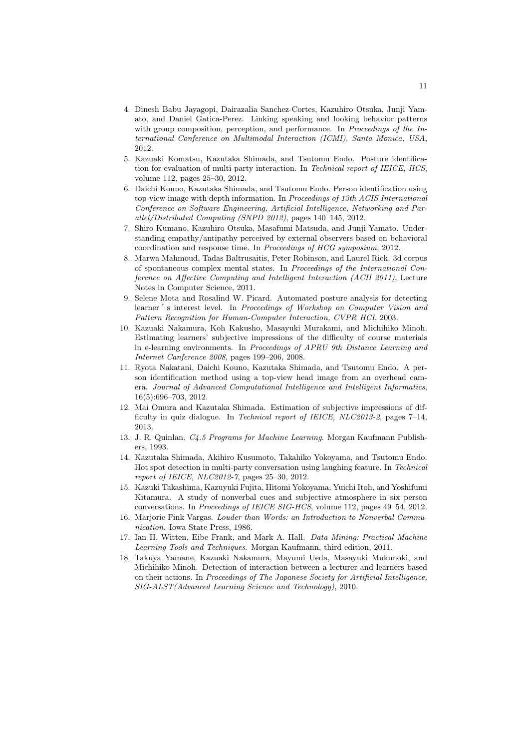- 4. Dinesh Babu Jayagopi, Dairazalia Sanchez-Cortes, Kazuhiro Otsuka, Junji Yamato, and Daniel Gatica-Perez. Linking speaking and looking behavior patterns with group composition, perception, and performance. In *Proceedings of the International Conference on Multimodal Interaction (ICMI), Santa Monica, USA*, 2012.
- 5. Kazuaki Komatsu, Kazutaka Shimada, and Tsutomu Endo. Posture identification for evaluation of multi-party interaction. In *Technical report of IEICE, HCS*, volume 112, pages 25–30, 2012.
- 6. Daichi Kouno, Kazutaka Shimada, and Tsutomu Endo. Person identification using top-view image with depth information. In *Proceedings of 13th ACIS International Conference on Software Engineering, Artificial Intelligence, Networking and Parallel/Distributed Computing (SNPD 2012)*, pages 140–145, 2012.
- 7. Shiro Kumano, Kazuhiro Otsuka, Masafumi Matsuda, and Junji Yamato. Understanding empathy/antipathy perceived by external observers based on behavioral coordination and response time. In *Proceedings of HCG symposium*, 2012.
- 8. Marwa Mahmoud, Tadas Baltrusaitis, Peter Robinson, and Laurel Riek. 3d corpus of spontaneous complex mental states. In *Proceedings of the International Conference on Affective Computing and Intelligent Interaction (ACII 2011)*, Lecture Notes in Computer Science, 2011.
- 9. Selene Mota and Rosalind W. Picard. Automated posture analysis for detecting learner 's interest level. In *Proceedings of Workshop on Computer Vision and Pattern Recognition for Human-Computer Interaction, CVPR HCI*, 2003.
- 10. Kazuaki Nakamura, Koh Kakusho, Masayuki Murakami, and Michihiko Minoh. Estimating learners' subjective impressions of the difficulty of course materials in e-learning environments. In *Proceedings of APRU 9th Distance Learning and Internet Canference 2008*, pages 199–206, 2008.
- 11. Ryota Nakatani, Daichi Kouno, Kazutaka Shimada, and Tsutomu Endo. A person identification method using a top-view head image from an overhead camera. *Journal of Advanced Computational Intelligence and Intelligent Informatics*, 16(5):696–703, 2012.
- 12. Mai Omura and Kazutaka Shimada. Estimation of subjective impressions of difficulty in quiz dialogue. In *Technical report of IEICE, NLC2013-2*, pages 7–14, 2013.
- 13. J. R. Quinlan. *C4.5 Programs for Machine Learning*. Morgan Kaufmann Publishers, 1993.
- 14. Kazutaka Shimada, Akihiro Kusumoto, Takahiko Yokoyama, and Tsutomu Endo. Hot spot detection in multi-party conversation using laughing feature. In *Technical report of IEICE, NLC2012-7*, pages 25–30, 2012.
- 15. Kazuki Takashima, Kazuyuki Fujita, Hitomi Yokoyama, Yuichi Itoh, and Yoshifumi Kitamura. A study of nonverbal cues and subjective atmosphere in six person conversations. In *Proceedings of IEICE SIG-HCS*, volume 112, pages 49–54, 2012.
- 16. Marjorie Fink Vargas. *Louder than Words: an Introduction to Nonverbal Communication*. Iowa State Press, 1986.
- 17. Ian H. Witten, Eibe Frank, and Mark A. Hall. *Data Mining: Practical Machine Learning Tools and Techniques*. Morgan Kaufmann, third edition, 2011.
- 18. Takuya Yamane, Kazuaki Nakamura, Mayumi Ueda, Masayuki Mukunoki, and Michihiko Minoh. Detection of interaction between a lecturer and learners based on their actions. In *Proceedings of The Japanese Society for Artificial Intelligence, SIG-ALST(Advanced Learning Science and Technology)*, 2010.